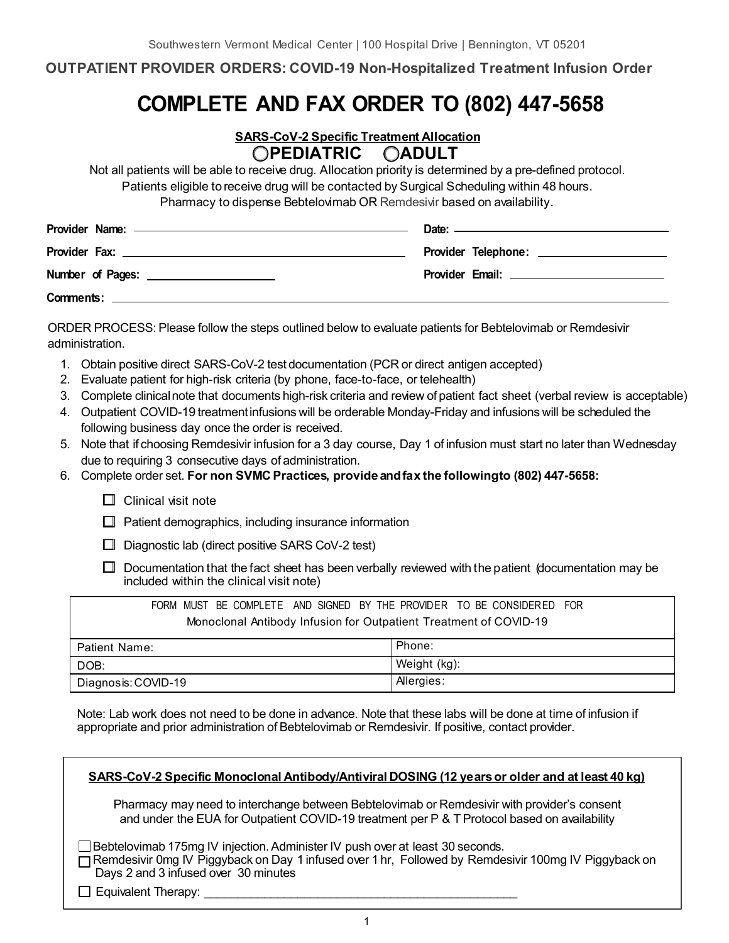### **OUTPATIENT PROVIDER ORDERS: COVID-19 Non-Hospitalized Treatment Infusion Order**

# **COMPLETE AND FAX ORDER TO (802) 447-5658**

#### **SARS-CoV-2 Specific Treatment Allocation �PEDIATRIC �ADULT**

Not all patients will be able to receive drug. Allocation priority is determined by a pre-defined protocol. Patients eligible to receive drug will be contacted by Surgical Scheduling within 48 hours. Pharmacy to dispense Bebtelovimab OR Remdesivir based on availability.

|                                                | Date: ———————————————————— |
|------------------------------------------------|----------------------------|
|                                                |                            |
| Number of Pages: <u>______________________</u> |                            |
|                                                |                            |

ORDER PROCESS: Please follow the steps outlined below to evaluate patients for Bebtelovimab or Remdesivir administration.

- 1. Obtain positive direct SARS-CoV-2 test documentation (PCR or direct antigen accepted)
- 2. Evaluate patient for high-risk criteria (by phone, face-to-face, or telehealth)
- 3. Complete clinical note that documents high-risk criteria and review of patient fact sheet (verbal review is acceptable)
- 4. Outpatient COVID-19 treatmentinfusions will be orderable Monday-Friday and infusions will be scheduled the following business day once the order is received.
- 5. Note that if choosing Remdesivir infusion for a 3 day course, Day 1 of infusion must start no later than Wednesday due to requiring 3 consecutive days of administration.
- 6. Complete order set. **For non SVMC Practices, provide andfax the followingto (802) 447-5658:**
	- $\Box$  Clinical visit note

 $\Box$  Patient demographics, including insurance information

- $\Box$  Diagnostic lab (direct positive SARS CoV-2 test)
- $\Box$  Documentation that the fact sheet has been verbally reviewed with the patient (documentation may be included within the clinical visit note)

| FORM MUST BE COMPLETE AND SIGNED BY THE PROVIDER TO BE CONSIDERED FOR |              |  |
|-----------------------------------------------------------------------|--------------|--|
| Monoclonal Antibody Infusion for Outpatient Treatment of COVID-19     |              |  |
| Patient Name:                                                         | Phone:       |  |
| DOB:                                                                  | Weight (kg): |  |
| Diagnosis: COVID-19                                                   | Allergies:   |  |

Note: Lab work does not need to be done in advance. Note that these labs will be done at time of infusion if appropriate and prior administration of Bebtelovimab or Remdesivir. If positive, contact provider.

| SARS-CoV-2 Specific Monoclonal Antibody/Antiviral DOSING (12 years or older and at least 40 kg)                                                                                                                                   |
|-----------------------------------------------------------------------------------------------------------------------------------------------------------------------------------------------------------------------------------|
| Pharmacy may need to interchange between Bebtelovimab or Remdesivir with provider's consent<br>and under the EUA for Outpatient COVID-19 treatment per P & T Protocol based on availability                                       |
| □ Bebtelovimab 175mg IV injection. Administer IV push over at least 30 seconds.<br>□ Remdesivir 0mg IV Piggyback on Day 1 infused over 1 hr, Followed by Remdesivir 100mg IV Piggyback on<br>Days 2 and 3 infused over 30 minutes |
| $\Box$ Equivalent Therapy:                                                                                                                                                                                                        |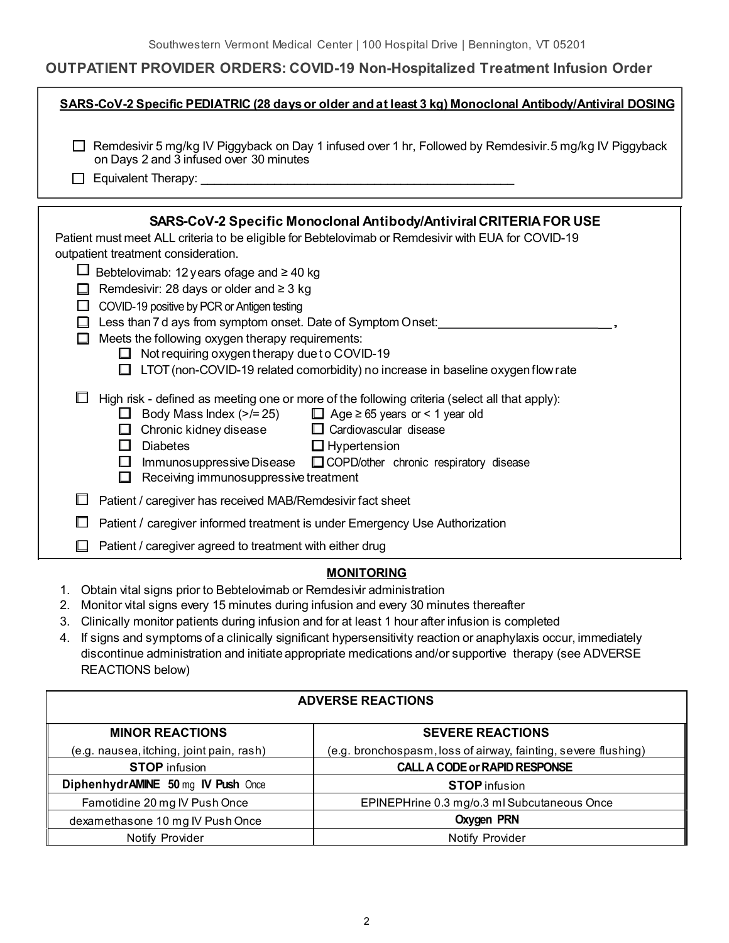## **OUTPATIENT PROVIDER ORDERS: COVID-19 Non-Hospitalized Treatment Infusion Order**

| SARS-CoV-2 Specific PEDIATRIC (28 days or older and at least 3 kg) Monoclonal Antibody/Antiviral DOSING                                                                                                                                                                                                                                                                                                                                                                                                                                                                                                                                            |
|----------------------------------------------------------------------------------------------------------------------------------------------------------------------------------------------------------------------------------------------------------------------------------------------------------------------------------------------------------------------------------------------------------------------------------------------------------------------------------------------------------------------------------------------------------------------------------------------------------------------------------------------------|
| Remdesivir 5 mg/kg IV Piggyback on Day 1 infused over 1 hr, Followed by Remdesivir.5 mg/kg IV Piggyback<br>on Days 2 and 3 infused over 30 minutes<br>$\mathbf{L}$                                                                                                                                                                                                                                                                                                                                                                                                                                                                                 |
| SARS-CoV-2 Specific Monoclonal Antibody/Antiviral CRITERIA FOR USE<br>Patient must meet ALL criteria to be eligible for Bebtelovimab or Remdesivir with EUA for COVID-19<br>outpatient treatment consideration.<br>Bebtelovimab: 12 years of age and $\geq 40$ kg<br>Remdesivir: 28 days or older and $\geq$ 3 kg<br>$\Box$ COVID-19 positive by PCR or Antigen testing<br>Less than 7 d ays from symptom onset. Date of Symptom Onset:<br>Meets the following oxygen therapy requirements:<br>П<br>$\Box$ Not requiring oxygen therapy due to COVID-19<br>$\Box$ LTOT (non-COVID-19 related comorbidity) no increase in baseline oxygen flow rate |
| High risk - defined as meeting one or more of the following criteria (select all that apply):<br>$\Box$ Age $\geq$ 65 years or < 1 year old<br>$\Box$ Body Mass Index (>/= 25)<br>Chronic kidney disease $\Box$ Cardiovascular disease<br>. .<br><b>Diabetes</b><br>$\Box$ Hypertension<br>$\Box$<br>Immunosuppressive Disease □ COPD/other chronic respiratory disease<br>$\mathbb{R}^n$<br>Receiving immunosuppressive treatment<br>$\Box$                                                                                                                                                                                                       |
| Patient / caregiver has received MAB/Remdesivir fact sheet                                                                                                                                                                                                                                                                                                                                                                                                                                                                                                                                                                                         |
| Patient / caregiver informed treatment is under Emergency Use Authorization                                                                                                                                                                                                                                                                                                                                                                                                                                                                                                                                                                        |
| Patient / caregiver agreed to treatment with either drug                                                                                                                                                                                                                                                                                                                                                                                                                                                                                                                                                                                           |

#### **MONITORING**

- 1. Obtain vital signs prior to Bebtelovimab or Remdesivir administration
- 2. Monitor vital signs every 15 minutes during infusion and every 30 minutes thereafter
- 3. Clinically monitor patients during infusion and for at least 1 hour after infusion is completed
- 4. If signs and symptoms of a clinically significant hypersensitivity reaction or anaphylaxis occur, immediately discontinue administration and initiate appropriate medications and/or supportive therapy (see ADVERSE REACTIONS below)

#### **ADVERSE REACTIONS**

| <b>MINOR REACTIONS</b>                   | <b>SEVERE REACTIONS</b>                                        |
|------------------------------------------|----------------------------------------------------------------|
| (e.g. nausea, itching, joint pain, rash) | (e.g. bronchospasm, loss of airway, fainting, severe flushing) |
| <b>STOP</b> infusion                     | <b>CALL A CODE or RAPID RESPONSE</b>                           |
| DiphenhydrAMINE 50 mg IV Push Once       | <b>STOP</b> infusion                                           |
| Famotidine 20 mg IV Push Once            | EPINEPHrine 0.3 mg/o.3 ml Subcutaneous Once                    |
| dexamethasone 10 mg IV Push Once         | <b>Oxygen PRN</b>                                              |
| Notify Provider                          | Notify Provider                                                |